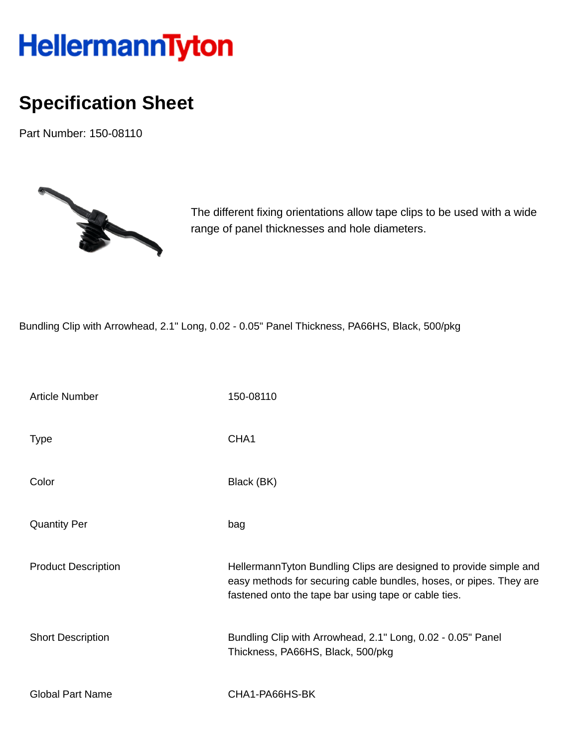## HellermannTyton

## **Specification Sheet**

Part Number: 150-08110



The different fixing orientations allow tape clips to be used with a wide range of panel thicknesses and hole diameters.

Bundling Clip with Arrowhead, 2.1" Long, 0.02 - 0.05" Panel Thickness, PA66HS, Black, 500/pkg

| <b>Article Number</b>      | 150-08110                                                                                                                                                                                       |
|----------------------------|-------------------------------------------------------------------------------------------------------------------------------------------------------------------------------------------------|
| <b>Type</b>                | CHA <sub>1</sub>                                                                                                                                                                                |
| Color                      | Black (BK)                                                                                                                                                                                      |
| <b>Quantity Per</b>        | bag                                                                                                                                                                                             |
| <b>Product Description</b> | HellermannTyton Bundling Clips are designed to provide simple and<br>easy methods for securing cable bundles, hoses, or pipes. They are<br>fastened onto the tape bar using tape or cable ties. |
| <b>Short Description</b>   | Bundling Clip with Arrowhead, 2.1" Long, 0.02 - 0.05" Panel<br>Thickness, PA66HS, Black, 500/pkg                                                                                                |
| <b>Global Part Name</b>    | CHA1-PA66HS-BK                                                                                                                                                                                  |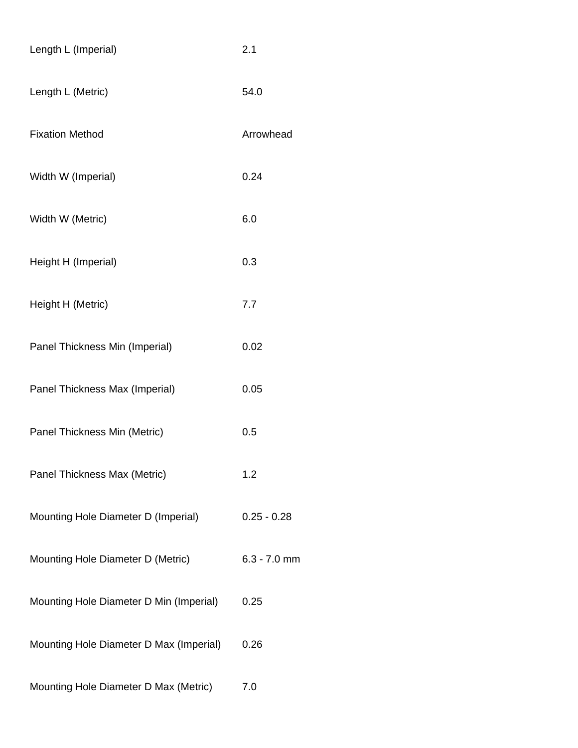| Length L (Imperial)                     | 2.1            |
|-----------------------------------------|----------------|
| Length L (Metric)                       | 54.0           |
| <b>Fixation Method</b>                  | Arrowhead      |
| Width W (Imperial)                      | 0.24           |
| Width W (Metric)                        | 6.0            |
| Height H (Imperial)                     | 0.3            |
| Height H (Metric)                       | 7.7            |
| Panel Thickness Min (Imperial)          | 0.02           |
| Panel Thickness Max (Imperial)          | 0.05           |
| Panel Thickness Min (Metric)            | 0.5            |
| Panel Thickness Max (Metric)            | 1.2            |
| Mounting Hole Diameter D (Imperial)     | $0.25 - 0.28$  |
| Mounting Hole Diameter D (Metric)       | $6.3 - 7.0$ mm |
| Mounting Hole Diameter D Min (Imperial) | 0.25           |
| Mounting Hole Diameter D Max (Imperial) | 0.26           |
| Mounting Hole Diameter D Max (Metric)   | 7.0            |